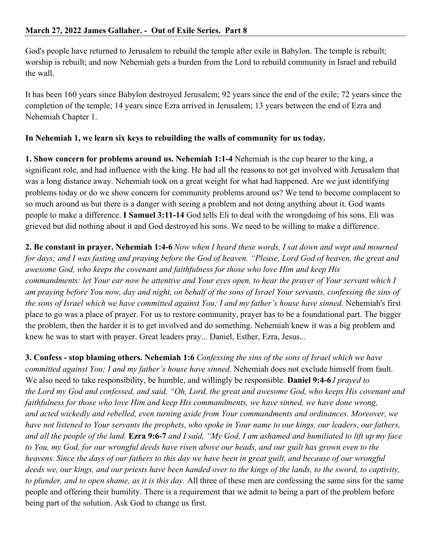God's people have returned to Jerusalem to rebuild the temple after exile in Babylon. The temple is rebuilt; worship is rebuilt; and now Nehemiah gets a burden from the Lord to rebuild community in Israel and rebuild the wall.

It has been 160 years since Babylon destroyed Jerusalem; 92 years since the end of the exile; 72 years since the completion of the temple; 14 years since Ezra arrived in Jerusalem; 13 years between the end of Ezra and Nehemiah Chapter 1.

## **In Nehemiah 1, we learn six keys to rebuilding the walls of community for us today.**

**1. Show concern for problems around us. Nehemiah 1:1-4** Nehemiah is the cup bearer to the king, a significant role, and had influence with the king. He had all the reasons to not get involved with Jerusalem that was a long distance away. Nehemiah took on a great weight for what had happened. Are we just identifying problems today or do we show concern for community problems around us? We tend to become complacent to so much around us but there is a danger with seeing a problem and not doing anything about it. God wants people to make a difference. **I Samuel 3:11-14** God tells Eli to deal with the wrongdoing of his sons. Eli was grieved but did nothing about it and God destroyed his sons. We need to be willing to make a difference.

**2. Be constant in prayer. Nehemiah 1:4-6***Now when I heard these words, I sat down and wept and mourned for days; and I was fasting and praying before the God of heaven. "Please, Lord God of heaven, the great and awesome God, who keeps the covenant and faithfulness for those who love Him and keep His commandments: let Your ear now be attentive and Your eyes open, to hear the prayer of Your servant which I am praying before You now, day and night, on behalf of the sons of Israel Your servants, confessing the sins of the sons of Israel which we have committed against You; I and my father's house have sinned.* Nehemiah's first place to go was a place of prayer. For us to restore community, prayer has to be a foundational part. The bigger the problem, then the harder it is to get involved and do something. Nehemiah knew it was a big problem and knew he was to start with prayer. Great leaders pray... Daniel, Esther, Ezra, Jesus...

**3. Confess - stop blaming others. Nehemiah 1:6** *Confessing the sins of the sons of Israel which we have committed against You; I and my father's house have sinned.* Nehemiah does not exclude himself from fault. We also need to take responsibility, be humble, and willingly be responsible. **Daniel 9:4-6** *I prayed to the Lord my God and confessed, and said, "Oh, Lord, the great and awesome God, who keeps His covenant and faithfulness for those who love Him and keep His commandments, we have sinned, we have done wrong, and acted wickedly and rebelled, even turning aside from Your commandments and ordinances. Moreover, we have not listened to Your servants the prophets, who spoke in Your name to our kings, our leaders, our fathers, and all the people of the land.* **Ezra 9:6-7** *and I said, "My God, I am ashamed and humiliated to lift up my face to You, my God, for our wrongful deeds have risen above our heads, and our guilt has grown even to the heavens. Since the days of our fathers to this day we have been in great guilt, and because of our wrongful deeds we, our kings, and our priests have been handed over to the kings of the lands, to the sword, to captivity, to plunder, and to open shame, as it is this day.* All three of these men are confessing the same sins for the same people and offering their humility. There is a requirement that we admit to being a part of the problem before being part of the solution. Ask God to change us first.